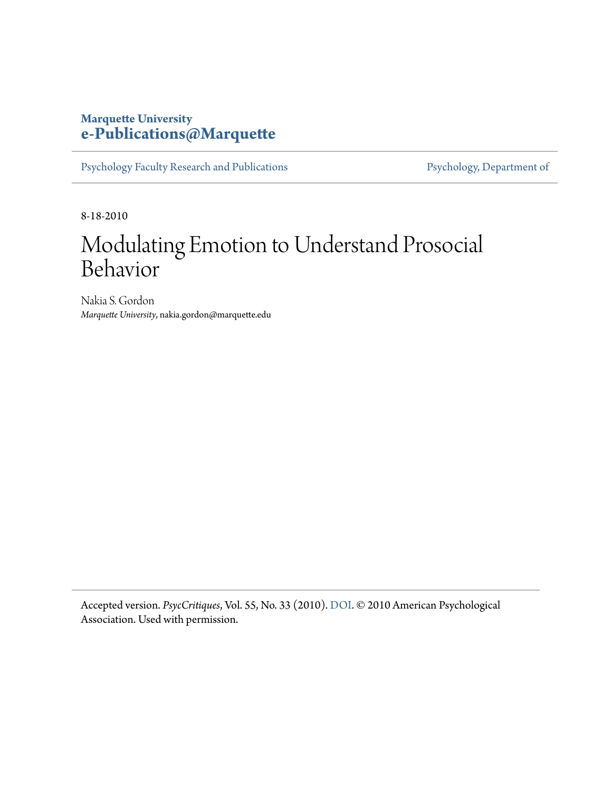### **Marquette University [e-Publications@Marquette](https://epublications.marquette.edu/)**

[Psychology Faculty Research and Publications](https://epublications.marquette.edu/psych_fac) [Psychology, Department of](https://epublications.marquette.edu/psychology)

8-18-2010

## Modulating Emotion to Understand Prosocial Behavior

Nakia S. Gordon *Marquette University*, nakia.gordon@marquette.edu

Accepted version. *PsycCritiques*, Vol. 55, No. 33 (2010). [DOI.](http://dx.doi.org/10.1037/a0019934) © 2010 American Psychological Association. Used with permission.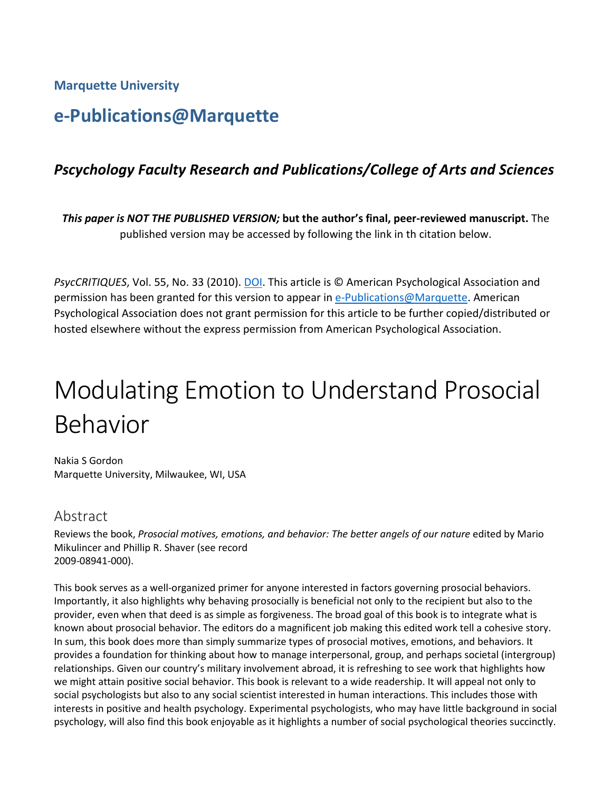**Marquette University**

### **e-Publications@Marquette**

### *Pscychology Faculty Research and Publications/College of Arts and Sciences*

*This paper is NOT THE PUBLISHED VERSION;* **but the author's final, peer-reviewed manuscript.** The published version may be accessed by following the link in th citation below.

*PsycCRITIQUES*, Vol. 55, No. 33 (2010). DOI. This article is © American Psychological Association and permission has been granted for this version to appear in [e-Publications@Marquette.](http://epublications.marquette.edu/) American Psychological Association does not grant permission for this article to be further copied/distributed or hosted elsewhere without the express permission from American Psychological Association.

# Modulating Emotion to Understand Prosocial Behavior

Nakia S Gordon Marquette University, Milwaukee, WI, USA

### Abstract

Reviews the book, *Prosocial motives, emotions, and behavior: The better angels of our nature* edited by Mario Mikulincer and Phillip R. Shaver (see record 2009-08941-000).

This book serves as a well-organized primer for anyone interested in factors governing prosocial behaviors. Importantly, it also highlights why behaving prosocially is beneficial not only to the recipient but also to the provider, even when that deed is as simple as forgiveness. The broad goal of this book is to integrate what is known about prosocial behavior. The editors do a magnificent job making this edited work tell a cohesive story. In sum, this book does more than simply summarize types of prosocial motives, emotions, and behaviors. It provides a foundation for thinking about how to manage interpersonal, group, and perhaps societal (intergroup) relationships. Given our country's military involvement abroad, it is refreshing to see work that highlights how we might attain positive social behavior. This book is relevant to a wide readership. It will appeal not only to social psychologists but also to any social scientist interested in human interactions. This includes those with interests in positive and health psychology. Experimental psychologists, who may have little background in social psychology, will also find this book enjoyable as it highlights a number of social psychological theories succinctly.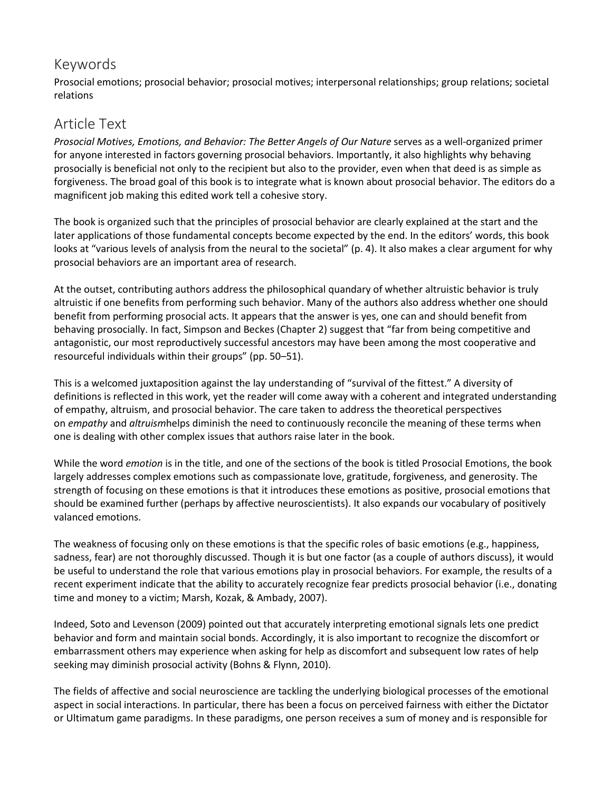### Keywords

Prosocial emotions; prosocial behavior; prosocial motives; interpersonal relationships; group relations; societal relations

### Article Text

*Prosocial Motives, Emotions, and Behavior: The Better Angels of Our Nature* serves as a well-organized primer for anyone interested in factors governing prosocial behaviors. Importantly, it also highlights why behaving prosocially is beneficial not only to the recipient but also to the provider, even when that deed is as simple as forgiveness. The broad goal of this book is to integrate what is known about prosocial behavior. The editors do a magnificent job making this edited work tell a cohesive story.

The book is organized such that the principles of prosocial behavior are clearly explained at the start and the later applications of those fundamental concepts become expected by the end. In the editors' words, this book looks at "various levels of analysis from the neural to the societal" (p. 4). It also makes a clear argument for why prosocial behaviors are an important area of research.

At the outset, contributing authors address the philosophical quandary of whether altruistic behavior is truly altruistic if one benefits from performing such behavior. Many of the authors also address whether one should benefit from performing prosocial acts. It appears that the answer is yes, one can and should benefit from behaving prosocially. In fact, Simpson and Beckes (Chapter 2) suggest that "far from being competitive and antagonistic, our most reproductively successful ancestors may have been among the most cooperative and resourceful individuals within their groups" (pp. 50–51).

This is a welcomed juxtaposition against the lay understanding of "survival of the fittest." A diversity of definitions is reflected in this work, yet the reader will come away with a coherent and integrated understanding of empathy, altruism, and prosocial behavior. The care taken to address the theoretical perspectives on *empathy* and *altruism*helps diminish the need to continuously reconcile the meaning of these terms when one is dealing with other complex issues that authors raise later in the book.

While the word *emotion* is in the title, and one of the sections of the book is titled Prosocial Emotions, the book largely addresses complex emotions such as compassionate love, gratitude, forgiveness, and generosity. The strength of focusing on these emotions is that it introduces these emotions as positive, prosocial emotions that should be examined further (perhaps by affective neuroscientists). It also expands our vocabulary of positively valanced emotions.

The weakness of focusing only on these emotions is that the specific roles of basic emotions (e.g., happiness, sadness, fear) are not thoroughly discussed. Though it is but one factor (as a couple of authors discuss), it would be useful to understand the role that various emotions play in prosocial behaviors. For example, the results of a recent experiment indicate that the ability to accurately recognize fear predicts prosocial behavior (i.e., donating time and money to a victim; Marsh, Kozak, & Ambady, 2007).

Indeed, Soto and Levenson (2009) pointed out that accurately interpreting emotional signals lets one predict behavior and form and maintain social bonds. Accordingly, it is also important to recognize the discomfort or embarrassment others may experience when asking for help as discomfort and subsequent low rates of help seeking may diminish prosocial activity (Bohns & Flynn, 2010).

The fields of affective and social neuroscience are tackling the underlying biological processes of the emotional aspect in social interactions. In particular, there has been a focus on perceived fairness with either the Dictator or Ultimatum game paradigms. In these paradigms, one person receives a sum of money and is responsible for